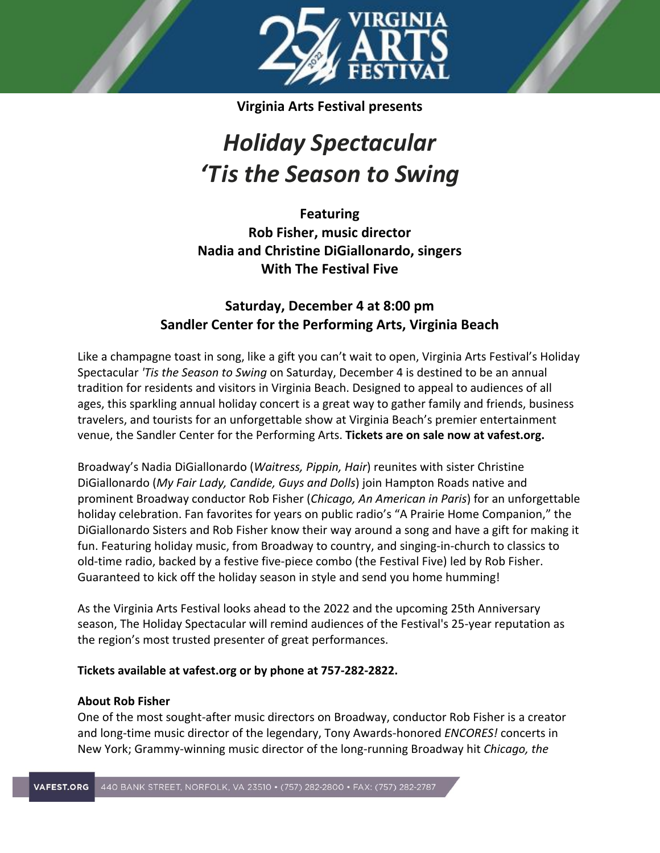

**Virginia Arts Festival presents**

# *Holiday Spectacular 'Tis the Season to Swing*

**Featuring Rob Fisher, music director Nadia and Christine DiGiallonardo, singers With The Festival Five**

# **Saturday, December 4 at 8:00 pm Sandler Center for the Performing Arts, Virginia Beach**

Like a champagne toast in song, like a gift you can't wait to open, Virginia Arts Festival's Holiday Spectacular *'Tis the Season to Swing* on Saturday, December 4 is destined to be an annual tradition for residents and visitors in Virginia Beach. Designed to appeal to audiences of all ages, this sparkling annual holiday concert is a great way to gather family and friends, business travelers, and tourists for an unforgettable show at Virginia Beach's premier entertainment venue, the Sandler Center for the Performing Arts. **Tickets are on sale now at vafest.org.**

Broadway's Nadia DiGiallonardo (*Waitress, Pippin, Hair*) reunites with sister Christine DiGiallonardo (*My Fair Lady, Candide, Guys and Dolls*) join Hampton Roads native and prominent Broadway conductor Rob Fisher (*Chicago, An American in Paris*) for an unforgettable holiday celebration. Fan favorites for years on public radio's "A Prairie Home Companion," the DiGiallonardo Sisters and Rob Fisher know their way around a song and have a gift for making it fun. Featuring holiday music, from Broadway to country, and singing-in-church to classics to old-time radio, backed by a festive five-piece combo (the Festival Five) led by Rob Fisher. Guaranteed to kick off the holiday season in style and send you home humming!

As the Virginia Arts Festival looks ahead to the 2022 and the upcoming 25th Anniversary season, The Holiday Spectacular will remind audiences of the Festival's 25-year reputation as the region's most trusted presenter of great performances.

# **Tickets available at vafest.org or by phone at 757-282-2822.**

# **About Rob Fisher**

One of the most sought-after music directors on Broadway, conductor Rob Fisher is a creator and long-time music director of the legendary, Tony Awards-honored *ENCORES!* concerts in New York; Grammy-winning music director of the long-running Broadway hit *Chicago, the*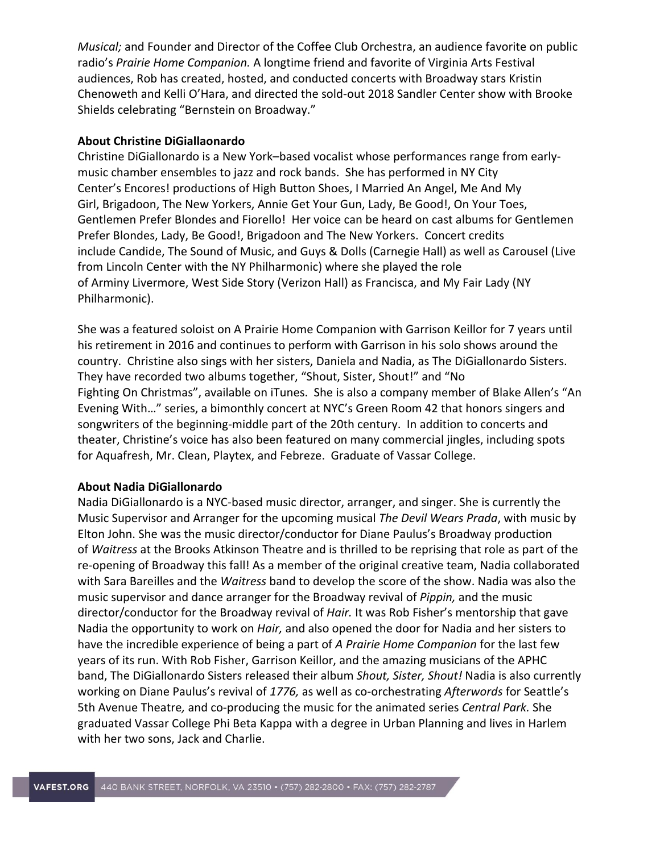*Musical;* and Founder and Director of the Coffee Club Orchestra, an audience favorite on public radio's *Prairie Home Companion.* A longtime friend and favorite of Virginia Arts Festival audiences, Rob has created, hosted, and conducted concerts with Broadway stars Kristin Chenoweth and Kelli O'Hara, and directed the sold-out 2018 Sandler Center show with Brooke Shields celebrating "Bernstein on Broadway."

#### **About Christine DiGiallaonardo**

Christine DiGiallonardo is a New York–based vocalist whose performances range from earlymusic chamber ensembles to jazz and rock bands. She has performed in NY City Center's Encores! productions of High Button Shoes, I Married An Angel, Me And My Girl, Brigadoon, The New Yorkers, Annie Get Your Gun, Lady, Be Good!, On Your Toes, Gentlemen Prefer Blondes and Fiorello! Her voice can be heard on cast albums for Gentlemen Prefer Blondes, Lady, Be Good!, Brigadoon and The New Yorkers. Concert credits include Candide, The Sound of Music, and Guys & Dolls (Carnegie Hall) as well as Carousel (Live from Lincoln Center with the NY Philharmonic) where she played the role of Arminy Livermore, West Side Story (Verizon Hall) as Francisca, and My Fair Lady (NY Philharmonic).

She was a featured soloist on A Prairie Home Companion with Garrison Keillor for 7 years until his retirement in 2016 and continues to perform with Garrison in his solo shows around the country. Christine also sings with her sisters, Daniela and Nadia, as The DiGiallonardo Sisters. They have recorded two albums together, "Shout, Sister, Shout!" and "No Fighting On Christmas", available on iTunes. She is also a company member of Blake Allen's "An Evening With…" series, a bimonthly concert at NYC's Green Room 42 that honors singers and songwriters of the beginning-middle part of the 20th century. In addition to concerts and theater, Christine's voice has also been featured on many commercial jingles, including spots for Aquafresh, Mr. Clean, Playtex, and Febreze. Graduate of Vassar College.

#### **About Nadia DiGiallonardo**

Nadia DiGiallonardo is a NYC-based music director, arranger, and singer. She is currently the Music Supervisor and Arranger for the upcoming musical *The Devil Wears Prada*, with music by Elton John. She was the music director/conductor for Diane Paulus's Broadway production of *Waitress* at the Brooks Atkinson Theatre and is thrilled to be reprising that role as part of the re-opening of Broadway this fall! As a member of the original creative team, Nadia collaborated with Sara Bareilles and the *Waitress* band to develop the score of the show. Nadia was also the music supervisor and dance arranger for the Broadway revival of *Pippin,* and the music director/conductor for the Broadway revival of *Hair.* It was Rob Fisher's mentorship that gave Nadia the opportunity to work on *Hair,* and also opened the door for Nadia and her sisters to have the incredible experience of being a part of *A Prairie Home Companion* for the last few years of its run. With Rob Fisher, Garrison Keillor, and the amazing musicians of the APHC band, The DiGiallonardo Sisters released their album *Shout, Sister, Shout!* Nadia is also currently working on Diane Paulus's revival of *1776,* as well as co-orchestrating *Afterwords* for Seattle's 5th Avenue Theatre*,* and co-producing the music for the animated series *Central Park.* She graduated Vassar College Phi Beta Kappa with a degree in Urban Planning and lives in Harlem with her two sons, Jack and Charlie.